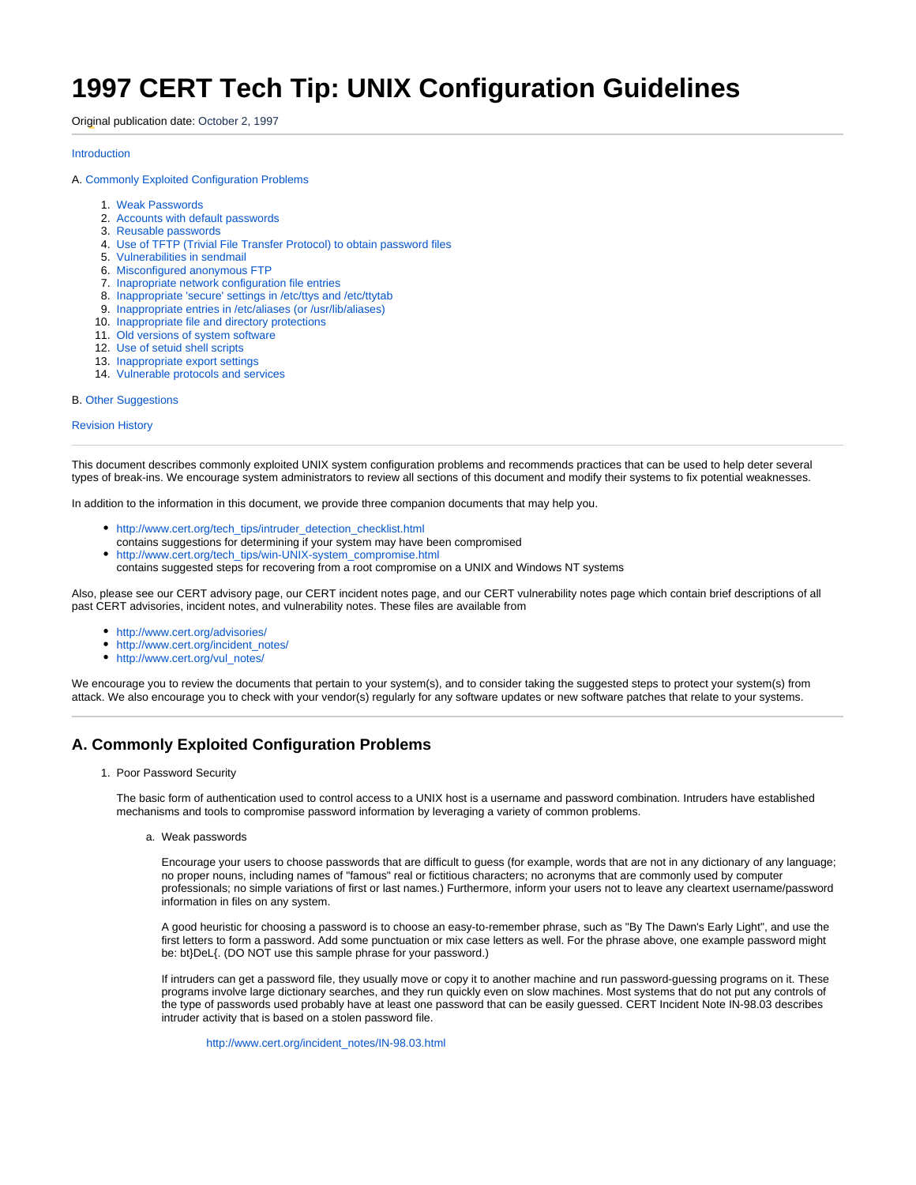# **1997 CERT Tech Tip: UNIX Configuration Guidelines**

Original publication date: October 2, 1997

# [Introduction](#page-0-0)

# A. [Commonly Exploited Configuration Problems](#page-0-1)

- 1. [Weak Passwords](#page-0-2)
- 2. [Accounts with default passwords](#page-1-0)
- 3. [Reusable passwords](#page-1-1)
- 4. [Use of TFTP \(Trivial File Transfer Protocol\) to obtain password files](#page-1-2)
- 5. [Vulnerabilities in sendmail](#page-1-3)
- 6. [Misconfigured anonymous FTP](#page-2-0)
- 7. [Inapropriate network configuration file entries](#page-2-1)
- 8. [Inappropriate 'secure' settings in /etc/ttys and /etc/ttytab](#page-2-2)
- 9. [Inappropriate entries in /etc/aliases \(or /usr/lib/aliases\)](#page-2-3)
- 10. [Inappropriate file and directory protections](#page-2-4)
- 11. [Old versions of system software](#page-2-5)
- 12. [Use of setuid shell scripts](#page-2-6)
- 13. [Inappropriate export settings](#page-2-7)
- 14. [Vulnerable protocols and services](#page-3-0)

## B. Other Suggestions

# [Revision History](#page-3-1)

<span id="page-0-0"></span>This document describes commonly exploited UNIX system configuration problems and recommends practices that can be used to help deter several types of break-ins. We encourage system administrators to review all sections of this document and modify their systems to fix potential weaknesses.

In addition to the information in this document, we provide three companion documents that may help you.

- [http://www.cert.org/tech\\_tips/intruder\\_detection\\_checklist.html](http://www.cert.org/tech_tips/intruder_detection_checklist.html)
- contains suggestions for determining if your system may have been compromised [http://www.cert.org/tech\\_tips/win-UNIX-system\\_compromise.html](http://www.cert.org/tech_tips/win-UNIX-system_compromise.html)
- contains suggested steps for recovering from a root compromise on a UNIX and Windows NT systems

Also, please see our CERT advisory page, our CERT incident notes page, and our CERT vulnerability notes page which contain brief descriptions of all past CERT advisories, incident notes, and vulnerability notes. These files are available from

- <http://www.cert.org/advisories/>
- [http://www.cert.org/incident\\_notes/](http://www.cert.org/incident_notes/)
- [http://www.cert.org/vul\\_notes/](http://www.cert.org/vul_notes/)

We encourage you to review the documents that pertain to your system(s), and to consider taking the suggested steps to protect your system(s) from attack. We also encourage you to check with your vendor(s) regularly for any software updates or new software patches that relate to your systems.

# <span id="page-0-2"></span><span id="page-0-1"></span>**A. Commonly Exploited Configuration Problems**

1. Poor Password Security

The basic form of authentication used to control access to a UNIX host is a username and password combination. Intruders have established mechanisms and tools to compromise password information by leveraging a variety of common problems.

a. Weak passwords

Encourage your users to choose passwords that are difficult to guess (for example, words that are not in any dictionary of any language; no proper nouns, including names of "famous" real or fictitious characters; no acronyms that are commonly used by computer professionals; no simple variations of first or last names.) Furthermore, inform your users not to leave any cleartext username/password information in files on any system.

A good heuristic for choosing a password is to choose an easy-to-remember phrase, such as "By The Dawn's Early Light", and use the first letters to form a password. Add some punctuation or mix case letters as well. For the phrase above, one example password might be: bt}DeL{. (DO NOT use this sample phrase for your password.)

If intruders can get a password file, they usually move or copy it to another machine and run password-guessing programs on it. These programs involve large dictionary searches, and they run quickly even on slow machines. Most systems that do not put any controls of the type of passwords used probably have at least one password that can be easily guessed. CERT Incident Note IN-98.03 describes intruder activity that is based on a stolen password file.

[http://www.cert.org/incident\\_notes/IN-98.03.html](http://www.cert.org/incident_notes/IN-98.03.html)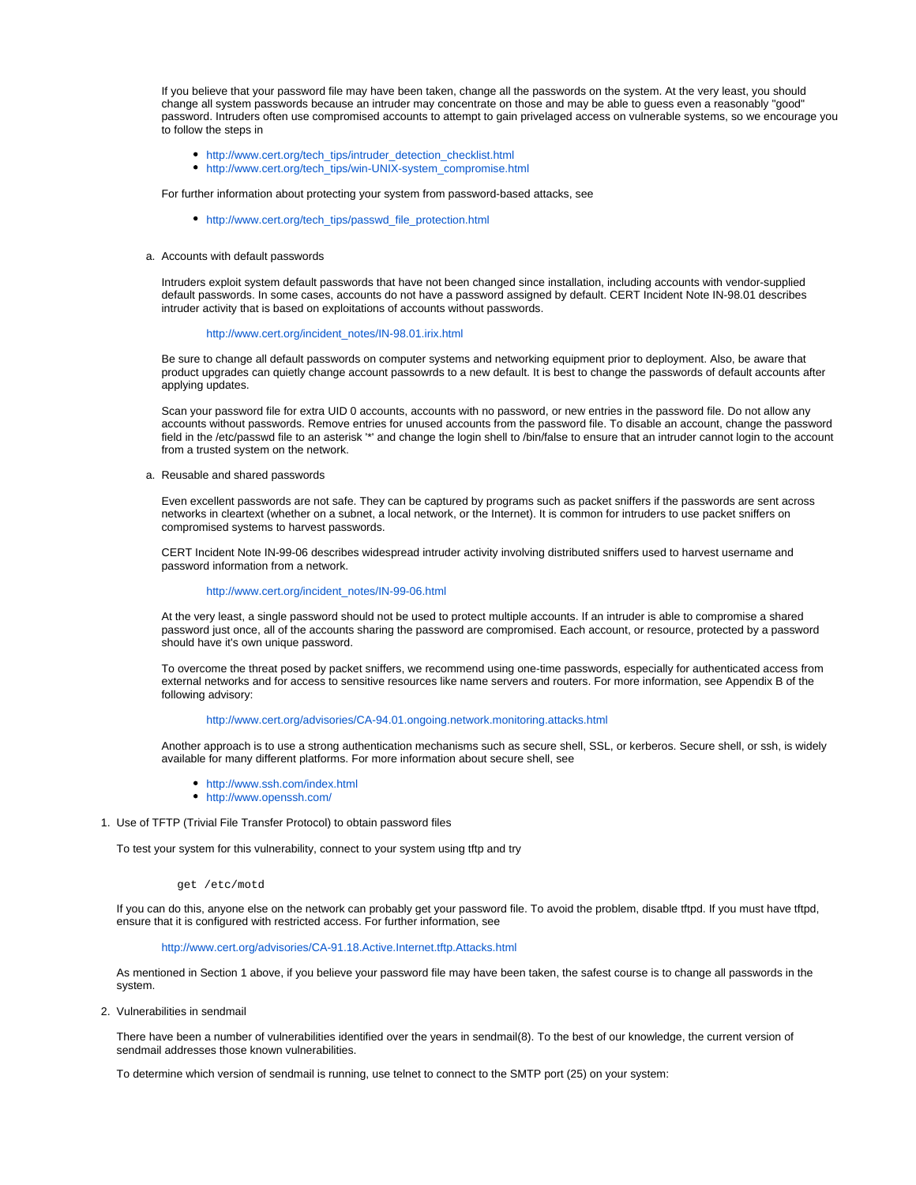If you believe that your password file may have been taken, change all the passwords on the system. At the very least, you should change all system passwords because an intruder may concentrate on those and may be able to guess even a reasonably "good" password. Intruders often use compromised accounts to attempt to gain privelaged access on vulnerable systems, so we encourage you to follow the steps in

- [http://www.cert.org/tech\\_tips/intruder\\_detection\\_checklist.html](http://www.cert.org/tech_tips/intruder_detection_checklist.html)
- [http://www.cert.org/tech\\_tips/win-UNIX-system\\_compromise.html](http://www.cert.org/tech_tips/win-UNIX-system_compromise.html)

For further information about protecting your system from password-based attacks, see

[http://www.cert.org/tech\\_tips/passwd\\_file\\_protection.html](http://www.cert.org/tech_tips/passwd_file_protection.html)

#### <span id="page-1-0"></span>a. Accounts with default passwords

Intruders exploit system default passwords that have not been changed since installation, including accounts with vendor-supplied default passwords. In some cases, accounts do not have a password assigned by default. CERT Incident Note IN-98.01 describes intruder activity that is based on exploitations of accounts without passwords.

#### [http://www.cert.org/incident\\_notes/IN-98.01.irix.html](http://www.cert.org/incident_notes/IN-98.01.irix.html)

Be sure to change all default passwords on computer systems and networking equipment prior to deployment. Also, be aware that product upgrades can quietly change account passowrds to a new default. It is best to change the passwords of default accounts after applying updates.

Scan your password file for extra UID 0 accounts, accounts with no password, or new entries in the password file. Do not allow any accounts without passwords. Remove entries for unused accounts from the password file. To disable an account, change the password field in the /etc/passwd file to an asterisk '\*' and change the login shell to /bin/false to ensure that an intruder cannot login to the account from a trusted system on the network.

<span id="page-1-1"></span>a. Reusable and shared passwords

Even excellent passwords are not safe. They can be captured by programs such as packet sniffers if the passwords are sent across networks in cleartext (whether on a subnet, a local network, or the Internet). It is common for intruders to use packet sniffers on compromised systems to harvest passwords.

CERT Incident Note IN-99-06 describes widespread intruder activity involving distributed sniffers used to harvest username and password information from a network.

# [http://www.cert.org/incident\\_notes/IN-99-06.html](http://www.cert.org/incident_notes/IN-99-06.html)

At the very least, a single password should not be used to protect multiple accounts. If an intruder is able to compromise a shared password just once, all of the accounts sharing the password are compromised. Each account, or resource, protected by a password should have it's own unique password.

To overcome the threat posed by packet sniffers, we recommend using one-time passwords, especially for authenticated access from external networks and for access to sensitive resources like name servers and routers. For more information, see Appendix B of the following advisory:

## <http://www.cert.org/advisories/CA-94.01.ongoing.network.monitoring.attacks.html>

Another approach is to use a strong authentication mechanisms such as secure shell, SSL, or kerberos. Secure shell, or ssh, is widely available for many different platforms. For more information about secure shell, see

- <http://www.ssh.com/index.html>
- <http://www.openssh.com/>
- <span id="page-1-2"></span>1. Use of TFTP (Trivial File Transfer Protocol) to obtain password files

To test your system for this vulnerability, connect to your system using tftp and try

get /etc/motd

If you can do this, anyone else on the network can probably get your password file. To avoid the problem, disable tftpd. If you must have tftpd, ensure that it is configured with restricted access. For further information, see

# <http://www.cert.org/advisories/CA-91.18.Active.Internet.tftp.Attacks.html>

As mentioned in Section 1 above, if you believe your password file may have been taken, the safest course is to change all passwords in the system.

<span id="page-1-3"></span>2. Vulnerabilities in sendmail

There have been a number of vulnerabilities identified over the years in sendmail(8). To the best of our knowledge, the current version of sendmail addresses those known vulnerabilities.

To determine which version of sendmail is running, use telnet to connect to the SMTP port (25) on your system: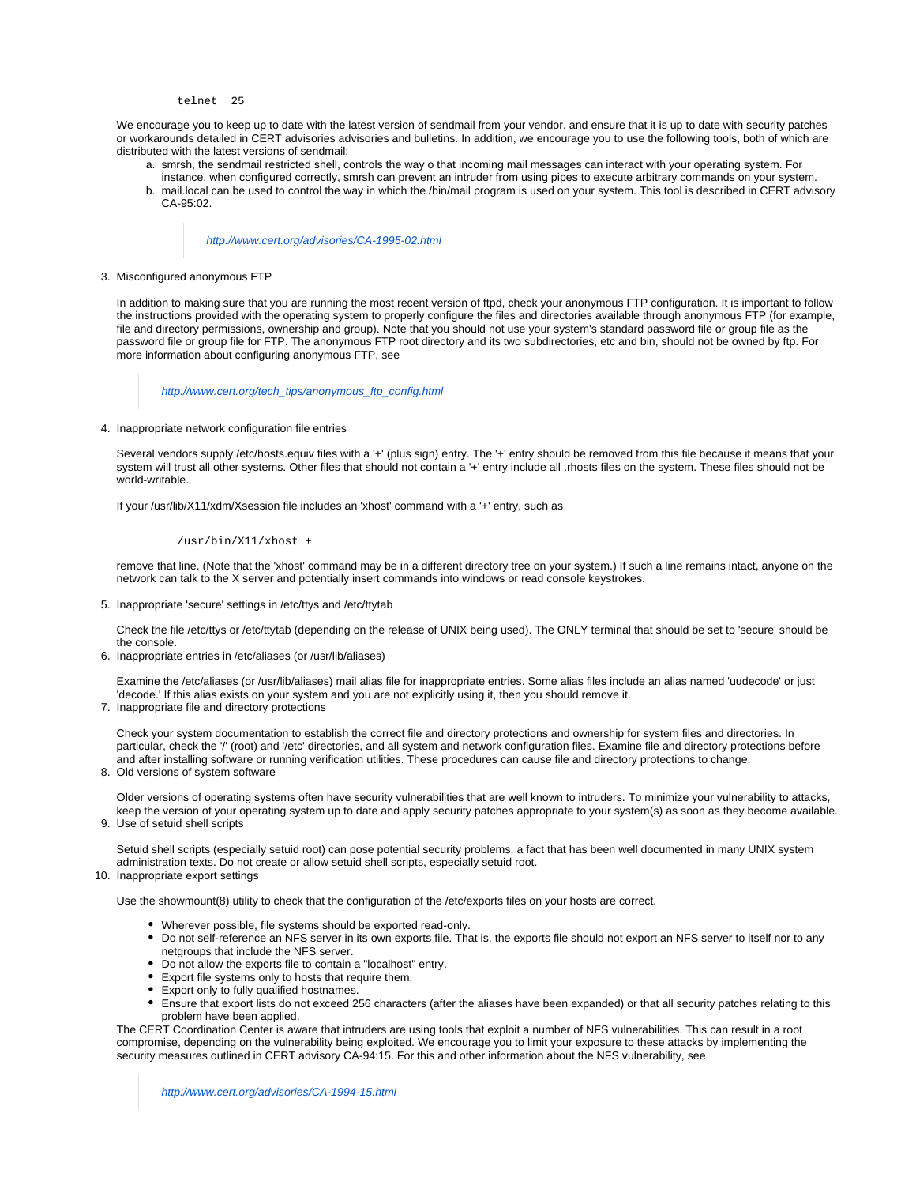#### telnet 25

We encourage you to keep up to date with the latest version of sendmail from your vendor, and ensure that it is up to date with security patches or workarounds detailed in CERT advisories advisories and bulletins. In addition, we encourage you to use the following tools, both of which are distributed with the latest versions of sendmail:

- a. smrsh, the sendmail restricted shell, controls the way o that incoming mail messages can interact with your operating system. For
- b. mail.local can be used to control the way in which the /bin/mail program is used on your system. This tool is described in CERT advisory instance, when configured correctly, smrsh can prevent an intruder from using pipes to execute arbitrary commands on your system. CA-95:02.

# <http://www.cert.org/advisories/CA-1995-02.html>

<span id="page-2-0"></span>3. Misconfigured anonymous FTP

In addition to making sure that you are running the most recent version of ftpd, check your anonymous FTP configuration. It is important to follow the instructions provided with the operating system to properly configure the files and directories available through anonymous FTP (for example, file and directory permissions, ownership and group). Note that you should not use your system's standard password file or group file as the password file or group file for FTP. The anonymous FTP root directory and its two subdirectories, etc and bin, should not be owned by ftp. For more information about configuring anonymous FTP, see

[http://www.cert.org/tech\\_tips/anonymous\\_ftp\\_config.html](http://www.cert.org/tech_tips/anonymous_ftp_config.html)

<span id="page-2-1"></span>4. Inappropriate network configuration file entries

Several vendors supply /etc/hosts.equiv files with a '+' (plus sign) entry. The '+' entry should be removed from this file because it means that your system will trust all other systems. Other files that should not contain a '+' entry include all .rhosts files on the system. These files should not be world-writable.

If your /usr/lib/X11/xdm/Xsession file includes an 'xhost' command with a '+' entry, such as

/usr/bin/X11/xhost +

remove that line. (Note that the 'xhost' command may be in a different directory tree on your system.) If such a line remains intact, anyone on the network can talk to the X server and potentially insert commands into windows or read console keystrokes.

<span id="page-2-2"></span>5. Inappropriate 'secure' settings in /etc/ttys and /etc/ttytab

Check the file /etc/ttys or /etc/ttytab (depending on the release of UNIX being used). The ONLY terminal that should be set to 'secure' should be the console.

<span id="page-2-3"></span>6. Inappropriate entries in /etc/aliases (or /usr/lib/aliases)

Examine the /etc/aliases (or /usr/lib/aliases) mail alias file for inappropriate entries. Some alias files include an alias named 'uudecode' or just 'decode.' If this alias exists on your system and you are not explicitly using it, then you should remove it.

<span id="page-2-4"></span>7. Inappropriate file and directory protections

Check your system documentation to establish the correct file and directory protections and ownership for system files and directories. In particular, check the '/' (root) and '/etc' directories, and all system and network configuration files. Examine file and directory protections before and after installing software or running verification utilities. These procedures can cause file and directory protections to change.

<span id="page-2-5"></span>8. Old versions of system software

Older versions of operating systems often have security vulnerabilities that are well known to intruders. To minimize your vulnerability to attacks, keep the version of your operating system up to date and apply security patches appropriate to your system(s) as soon as they become available.

<span id="page-2-6"></span>9. Use of setuid shell scripts

Setuid shell scripts (especially setuid root) can pose potential security problems, a fact that has been well documented in many UNIX system administration texts. Do not create or allow setuid shell scripts, especially setuid root.

<span id="page-2-7"></span>10. Inappropriate export settings

Use the showmount(8) utility to check that the configuration of the /etc/exports files on your hosts are correct.

- Wherever possible, file systems should be exported read-only.
- Do not self-reference an NFS server in its own exports file. That is, the exports file should not export an NFS server to itself nor to any netgroups that include the NFS server.
- Do not allow the exports file to contain a "localhost" entry.
- Export file systems only to hosts that require them.
- Export only to fully qualified hostnames.
- Ensure that export lists do not exceed 256 characters (after the aliases have been expanded) or that all security patches relating to this problem have been applied.

The CERT Coordination Center is aware that intruders are using tools that exploit a number of NFS vulnerabilities. This can result in a root compromise, depending on the vulnerability being exploited. We encourage you to limit your exposure to these attacks by implementing the security measures outlined in CERT advisory CA-94:15. For this and other information about the NFS vulnerability, see